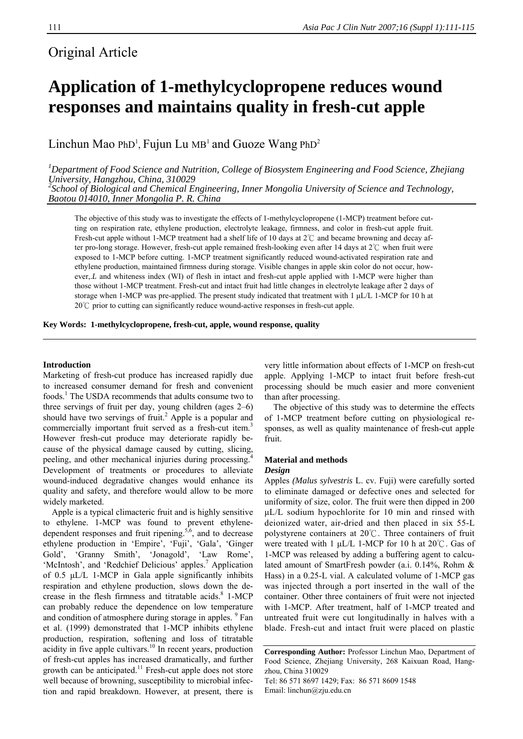## Original Article

# **Application of 1-methylcyclopropene reduces wound responses and maintains quality in fresh-cut apple**

Linchun Mao PhD<sup>1</sup>, Fujun Lu MB<sup>1</sup> and Guoze Wang PhD<sup>2</sup>

*1 Department of Food Science and Nutrition, College of Biosystem Engineering and Food Science, Zhejiang University, Hangzhou, China, 310029 2 School of Biological and Chemical Engineering, Inner Mongolia University of Science and Technology,* 

*Baotou 014010, Inner Mongolia P. R. China* 

The objective of this study was to investigate the effects of 1-methylcyclopropene (1-MCP) treatment before cutting on respiration rate, ethylene production, electrolyte leakage, firmness, and color in fresh-cut apple fruit. Fresh-cut apple without 1-MCP treatment had a shelf life of 10 days at 2℃ and became browning and decay after pro-long storage. However, fresh-cut apple remained fresh-looking even after 14 days at 2℃ when fruit were exposed to 1-MCP before cutting. 1-MCP treatment significantly reduced wound-activated respiration rate and ethylene production, maintained firmness during storage. Visible changes in apple skin color do not occur, however, *L* and whiteness index (WI) of flesh in intact and fresh-cut apple applied with 1-MCP were higher than those without 1-MCP treatment. Fresh-cut and intact fruit had little changes in electrolyte leakage after 2 days of storage when 1-MCP was pre-applied. The present study indicated that treatment with 1 μL/L 1-MCP for 10 h at 20℃ prior to cutting can significantly reduce wound-active responses in fresh-cut apple.

**Key Words: 1-methylcyclopropene, fresh-cut, apple, wound response, quality** 

#### **Introduction**

Marketing of fresh-cut produce has increased rapidly due to increased consumer demand for fresh and convenient foods.<sup>1</sup> The USDA recommends that adults consume two to three servings of fruit per day, young children (ages 2–6) should have two servings of fruit.<sup>2</sup> Apple is a popular and commercially important fruit served as a fresh-cut item.<sup>3</sup> However fresh-cut produce may deteriorate rapidly because of the physical damage caused by cutting, slicing, peeling, and other mechanical injuries during processing.<sup>4</sup> Development of treatments or procedures to alleviate wound-induced degradative changes would enhance its quality and safety, and therefore would allow to be more widely marketed.

Apple is a typical climacteric fruit and is highly sensitive to ethylene. 1-MCP was found to prevent ethylenedependent responses and fruit ripening. $5,6$ , and to decrease ethylene production in 'Empire', 'Fuji', 'Gala', 'Ginger Gold', 'Granny Smith', 'Jonagold', 'Law Rome', 'McIntosh', and 'Redchief Delicious' apples.<sup>7</sup> Application of 0.5 μL/L 1-MCP in Gala apple significantly inhibits respiration and ethylene production, slows down the decrease in the flesh firmness and titratable acids.<sup>8</sup> 1-MCP can probably reduce the dependence on low temperature and condition of atmosphere during storage in apples. <sup>9</sup> Fan et al. (1999) demonstrated that 1-MCP inhibits ethylene production, respiration, softening and loss of titratable acidity in five apple cultivars.<sup>10</sup> In recent years, production of fresh-cut apples has increased dramatically, and further growth can be anticipated.<sup>11</sup> Fresh-cut apple does not store well because of browning, susceptibility to microbial infection and rapid breakdown. However, at present, there is

very little information about effects of 1-MCP on fresh-cut apple. Applying 1-MCP to intact fruit before fresh-cut processing should be much easier and more convenient than after processing.

The objective of this study was to determine the effects of 1-MCP treatment before cutting on physiological responses, as well as quality maintenance of fresh-cut apple fruit.

#### **Material and methods**  *Design*

Apples *(Malus sylvestris* L. cv. Fuji) were carefully sorted to eliminate damaged or defective ones and selected for uniformity of size, color. The fruit were then dipped in 200 μL/L sodium hypochlorite for 10 min and rinsed with deionized water, air-dried and then placed in six 55-L polystyrene containers at 20℃. Three containers of fruit were treated with 1 μL/L 1-MCP for 10 h at 20℃. Gas of 1-MCP was released by adding a buffering agent to calculated amount of SmartFresh powder (a.i. 0.14%, Rohm & Hass) in a 0.25-L vial. A calculated volume of 1-MCP gas was injected through a port inserted in the wall of the container. Other three containers of fruit were not injected with 1-MCP. After treatment, half of 1-MCP treated and untreated fruit were cut longitudinally in halves with a blade. Fresh-cut and intact fruit were placed on plastic

**Corresponding Author:** Professor Linchun Mao, Department of Food Science, Zhejiang University, 268 Kaixuan Road, Hangzhou, China 310029 Tel: 86 571 8697 1429; Fax: 86 571 8609 1548

Email: linchun@zju.edu.cn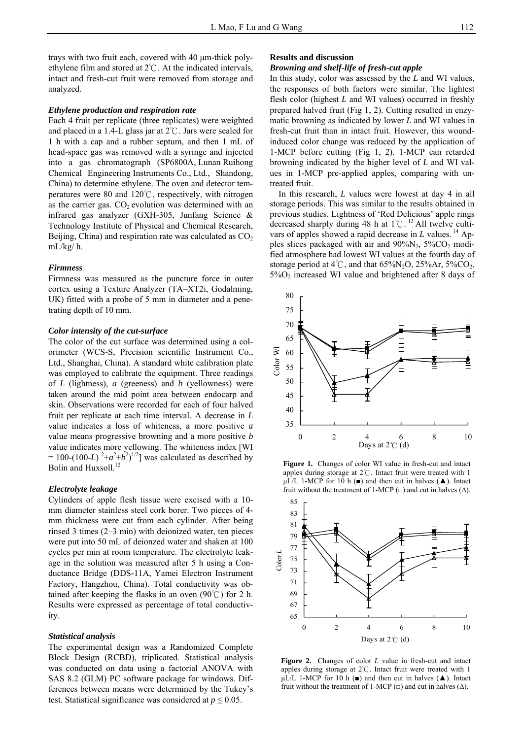trays with two fruit each, covered with 40 μm-thick polyethylene film and stored at 2℃. At the indicated intervals, intact and fresh-cut fruit were removed from storage and analyzed.

#### *Ethylene production and respiration rate*

Each 4 fruit per replicate (three replicates) were weighted and placed in a 1.4-L glass jar at 2℃. Jars were sealed for 1 h with a cap and a rubber septum, and then 1 mL of head-space gas was removed with a syringe and injected into a gas chromatograph (SP6800A, Lunan Ruihong Chemical Engineering Instruments Co., Ltd., Shandong, China) to determine ethylene. The oven and detector temperatures were 80 and 120℃, respectively, with nitrogen as the carrier gas.  $CO<sub>2</sub>$  evolution was determined with an infrared gas analyzer (GXH-305, Junfang Science & Technology Institute of Physical and Chemical Research, Beijing, China) and respiration rate was calculated as  $CO<sub>2</sub>$ mL/kg/ h.

#### *Firmness*

Firmness was measured as the puncture force in outer cortex using a Texture Analyzer (TA–XT2i, Godalming, UK) fitted with a probe of 5 mm in diameter and a penetrating depth of 10 mm.

#### *Color intensity of the cut-surface*

The color of the cut surface was determined using a colorimeter (WCS-S, Precision scientific Instrument Co., Ltd., Shanghai, China). A standard white calibration plate was employed to calibrate the equipment. Three readings of *L* (lightness), *a* (greeness) and *b* (yellowness) were taken around the mid point area between endocarp and skin. Observations were recorded for each of four halved fruit per replicate at each time interval. A decrease in *L* value indicates a loss of whiteness, a more positive *a* value means progressive browning and a more positive *b*  value indicates more yellowing. The whiteness index [WI  $= 100-(100-L)^{2}+a^{2}+b^{2})^{1/2}$  was calculated as described by Bolin and Huxsoll.<sup>12</sup>

#### *Electrolyte leakage*

Cylinders of apple flesh tissue were excised with a 10 mm diameter stainless steel cork borer. Two pieces of 4 mm thickness were cut from each cylinder. After being rinsed 3 times (2–3 min) with deionized water, ten pieces were put into 50 mL of deionzed water and shaken at 100 cycles per min at room temperature. The electrolyte leakage in the solution was measured after 5 h using a Conductance Bridge (DDS-11A, Yamei Electron Instrument Factory, Hangzhou, China). Total conductivity was obtained after keeping the flasks in an oven  $(90^{\circ}C)$  for 2 h. Results were expressed as percentage of total conductivity.

#### *Statistical analysis*

The experimental design was a Randomized Complete Block Design (RCBD), triplicated. Statistical analysis was conducted on data using a factorial ANOVA with SAS 8.2 (GLM) PC software package for windows. Differences between means were determined by the Tukey's test. Statistical significance was considered at  $p \leq 0.05$ .

#### **Results and discussion**

### *Browning and shelf-life of fresh-cut apple*

In this study, color was assessed by the *L* and WI values, the responses of both factors were similar. The lightest flesh color (highest *L* and WI values) occurred in freshly prepared halved fruit (Fig 1, 2). Cutting resulted in enzymatic browning as indicated by lower *L* and WI values in fresh-cut fruit than in intact fruit. However, this woundinduced color change was reduced by the application of 1-MCP before cutting (Fig 1, 2). 1-MCP can retarded browning indicated by the higher level of *L* and WI values in 1-MCP pre-applied apples, comparing with untreated fruit.

In this research, *L* values were lowest at day 4 in all storage periods. This was similar to the results obtained in previous studies. Lightness of 'Red Delicious' apple rings decreased sharply during 48 h at 1℃.<sup>13</sup> All twelve cultivars of apples showed a rapid decrease in *L* values.<sup>14</sup> Apples slices packaged with air and  $90\%$ N<sub>2</sub>,  $5\%$ CO<sub>2</sub> modified atmosphere had lowest WI values at the fourth day of storage period at  $4^{\circ}$ C, and that  $65\%$ N<sub>2</sub>O,  $25\%$ Ar,  $5\%$ CO<sub>2</sub>,  $5\%$ O<sub>2</sub> increased WI value and brightened after 8 days of



**Figure 1.** Changes of color WI value in fresh-cut and intact apples during storage at  $2^{\circ}$ . Intact fruit were treated with 1 μL/L 1-MCP for 10 h (■) and then cut in halves (▲). Intact fruit without the treatment of 1-MCP ( $\Box$ ) and cut in halves ( $\Delta$ ).



**Figure 2.** Changes of color *L* value in fresh-cut and intact apples during storage at  $2^{\circ}$ C. Intact fruit were treated with 1  $\mu$ L/L 1-MCP for 10 h ( $\blacksquare$ ) and then cut in halves ( $\blacktriangle$ ). Intact fruit without the treatment of 1-MCP  $(\square)$  and cut in halves  $(\triangle)$ .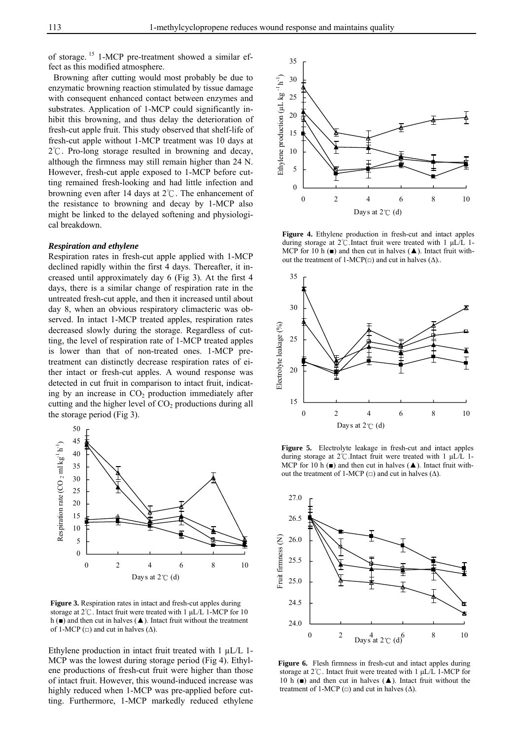of storage. 15 1-MCP pre-treatment showed a similar effect as this modified atmosphere.

Browning after cutting would most probably be due to enzymatic browning reaction stimulated by tissue damage with consequent enhanced contact between enzymes and substrates. Application of 1-MCP could significantly inhibit this browning, and thus delay the deterioration of fresh-cut apple fruit. This study observed that shelf-life of fresh-cut apple without 1-MCP treatment was 10 days at 2℃. Pro-long storage resulted in browning and decay, although the firmness may still remain higher than 24 N. However, fresh-cut apple exposed to 1-MCP before cutting remained fresh-looking and had little infection and browning even after 14 days at 2℃. The enhancement of the resistance to browning and decay by 1-MCP also might be linked to the delayed softening and physiological breakdown.

#### *Respiration and ethylene*

Respiration rates in fresh-cut apple applied with 1-MCP declined rapidly within the first 4 days. Thereafter, it increased until approximately day 6 (Fig 3). At the first 4 days, there is a similar change of respiration rate in the untreated fresh-cut apple, and then it increased until about day 8, when an obvious respiratory climacteric was observed. In intact 1-MCP treated apples, respiration rates decreased slowly during the storage. Regardless of cutting, the level of respiration rate of 1-MCP treated apples is lower than that of non-treated ones. 1-MCP pretreatment can distinctly decrease respiration rates of either intact or fresh-cut apples. A wound response was detected in cut fruit in comparison to intact fruit, indicating by an increase in  $CO<sub>2</sub>$  production immediately after cutting and the higher level of  $CO<sub>2</sub>$  productions during all the storage period (Fig 3).



**Figure 3.** Respiration rates in intact and fresh-cut apples during storage at  $2^{\circ}\text{C}$ . Intact fruit were treated with 1 µL/L 1-MCP for 10 h ( $\blacksquare$ ) and then cut in halves ( $\blacktriangle$ ). Intact fruit without the treatment of 1-MCP ( $\Box$ ) and cut in halves ( $\Delta$ ).

Ethylene production in intact fruit treated with  $1 \mu L/L$  1-MCP was the lowest during storage period (Fig 4). Ethylene productions of fresh-cut fruit were higher than those of intact fruit. However, this wound-induced increase was highly reduced when 1-MCP was pre-applied before cutting. Furthermore, 1-MCP markedly reduced ethylene



**Figure 4.** Ethylene production in fresh-cut and intact apples during storage at  $2^{\circ}$ C. Intact fruit were treated with 1 µL/L 1-MCP for 10 h ( $\blacksquare$ ) and then cut in halves ( $\blacktriangle$ ). Intact fruit without the treatment of 1-MCP( $\Box$ ) and cut in halves ( $\Delta$ )...



**Figure 5.** Electrolyte leakage in fresh-cut and intact apples during storage at  $2^{\circ}$ C. Intact fruit were treated with 1 µL/L 1-MCP for 10 h ( $\blacksquare$ ) and then cut in halves ( $\blacktriangle$ ). Intact fruit without the treatment of 1-MCP ( $\Box$ ) and cut in halves ( $\Delta$ ).



**Figure 6.** Flesh firmness in fresh-cut and intact apples during storage at  $2^{\circ}$ C. Intact fruit were treated with 1  $\mu$ L/L 1-MCP for 10 h ( $\blacksquare$ ) and then cut in halves ( $\blacktriangle$ ). Intact fruit without the treatment of 1-MCP  $(\square)$  and cut in halves  $(\triangle)$ .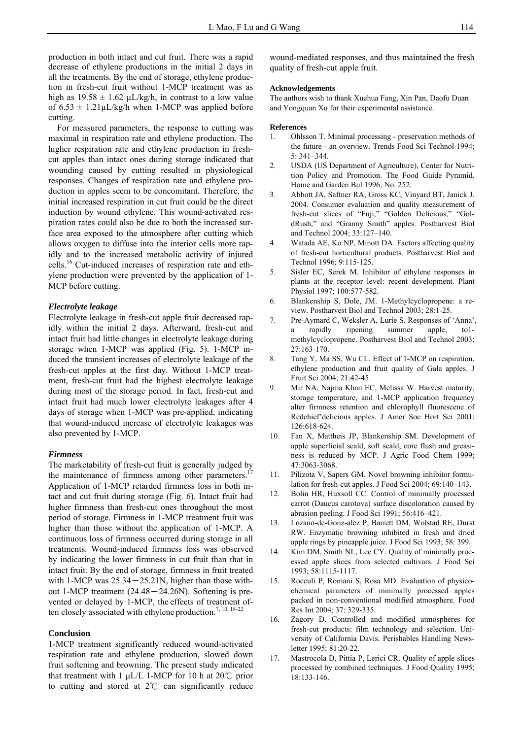production in both intact and cut fruit. There was a rapid decrease of ethylene productions in the initial 2 days in all the treatments. By the end of storage, ethylene production in fresh-cut fruit without 1-MCP treatment was as high as  $19.58 \pm 1.62 \mu L/kg/h$ , in contrast to a low value of  $6.53 \pm 1.21 \mu L/kg/h$  when 1-MCP was applied before cutting.

For measured parameters, the response to cutting was maximal in respiration rate and ethylene production. The higher respiration rate and ethylene production in freshcut apples than intact ones during storage indicated that wounding caused by cutting resulted in physiological responses. Changes of respiration rate and ethylene production in apples seem to be concomitant. Therefore, the initial increased respiration in cut fruit could be the direct induction by wound ethylene. This wound-activated respiration rates could also be due to both the increased surface area exposed to the atmosphere after cutting which allows oxygen to diffuse into the interior cells more rapidly and to the increased metabolic activity of injured cells.16 Cut-induced increases of respiration rate and ethylene production were prevented by the application of 1- MCP before cutting.

#### *Electrolyte leakage*

Electrolyte leakage in fresh-cut apple fruit decreased rapidly within the initial 2 days. Afterward, fresh-cut and intact fruit had little changes in electrolyte leakage during storage when 1-MCP was applied (Fig. 5). 1-MCP induced the transient increases of electrolyte leakage of the fresh-cut apples at the first day. Without 1-MCP treatment, fresh-cut fruit had the highest electrolyte leakage during most of the storage period. In fact, fresh-cut and intact fruit had much lower electrolyte leakages after 4 days of storage when 1-MCP was pre-applied, indicating that wound-induced increase of electrolyte leakages was also prevented by 1-MCP.

#### *Firmness*

The marketability of fresh-cut fruit is generally judged by the maintenance of firmness among other parameters.<sup>17</sup> Application of 1-MCP retarded firmness loss in both intact and cut fruit during storage (Fig. 6). Intact fruit had higher firmness than fresh-cut ones throughout the most period of storage. Firmness in 1-MCP treatment fruit was higher than those without the application of 1-MCP. A continuous loss of firmness occurred during storage in all treatments. Wound-induced firmness loss was observed by indicating the lower firmness in cut fruit than that in intact fruit. By the end of storage, firmness in fruit treated with 1-MCP was  $25.34 - 25.21$ N, higher than those without 1-MCP treatment  $(24.48 - 24.26N)$ . Softening is prevented or delayed by 1-MCP, the effects of treatment often closely associated with ethylene production.<sup>7, 10, 18-22</sup>

#### **Conclusion**

1-MCP treatment significantly reduced wound-activated respiration rate and ethylene production, slowed down fruit softening and browning. The present study indicated that treatment with 1 μL/L 1-MCP for 10 h at  $20^{\circ}$ C prior to cutting and stored at 2℃ can significantly reduce

wound-mediated responses, and thus maintained the fresh quality of fresh-cut apple fruit.

#### **Acknowledgements**

The authors wish to thank Xuehua Fang, Xin Pan, Daofu Duan and Yongquan Xu for their experimental assistance.

#### **References**

- 1. Ohlsson T. Minimal processing preservation methods of the future - an overview. Trends Food Sci Technol 1994; 5: 341–344.
- 2. USDA (US Department of Agriculture), Center for Nutrition Policy and Promotion. The Food Guide Pyramid. Home and Garden Bul 1996; No. 252.
- 3. Abbott JA, Saftner RA, Gross KC, Vinyard BT, Janick J. 2004. Consumer evaluation and quality measurement of fresh-cut slices of "Fuji," "Golden Delicious," "GoldRush," and "Granny Smith" apples. Postharvest Biol and Technol 2004; 33:127–140.
- 4. Watada AE, Ko NP, Minott DA. Factors affecting quality of fresh-cut horticultural products. Postharvest Biol and Technol 1996; 9:115-125.
- 5. Sisler EC, Serek M. Inhibitor of ethylene responses in plants at the receptor level: recent development. Plant Physiol 1997; 100:577-582.
- 6. Blankenship S, Dole, JM. 1-Methylcyclopropene: a review. Postharvest Biol and Technol 2003; 28:1-25.
- 7. Pre-Aymard C, Weksler A, Lurie S. Responses of 'Anna', a rapidly ripening summer apple, to1 methylcyclopropene. Postharvest Biol and Technol 2003; 27:163-170.
- 8. Tang Y, Ma SS, Wu CL. Effect of 1-MCP on respiration, ethylene production and fruit quality of Gala apples. J Fruit Sci 2004; 21:42-45.
- 9. Mir NA, Najma Khan EC, Melissa W. Harvest maturity, storage temperature, and 1-MCP application frequency alter firmness retention and chlorophyll fluorescene of Redchief'delicious apples. J Amer Soc Hort Sci 2001; 126:618-624.
- 10. Fan X, Mattheis JP, Blankenship SM. Development of apple superficial scald, soft scald, core flush and greasiness is reduced by MCP. J Agric Food Chem 1999; 47:3063-3068.
- 11. Pilizota V, Sapers GM. Novel browning inhibitor formulation for fresh-cut apples. J Food Sci 2004; 69:140–143.
- 12. Bolin HR, Huxsoll CC. Control of minimally processed carrot (Daucus carotova) surface discoloration caused by abrasion peeling. J Food Sci 1991; 56:416–421.
- 13. Lozano-de-Gonz-alez P, Barrett DM, Wolstad RE, Durst RW. Enzymatic browning inhibited in fresh and dried apple rings by pineapple juice. J Food Sci 1993; 58: 399.
- 14. Kim DM, Smith NL, Lee CY. Quality of minimally processed apple slices from selected cultivars. J Food Sci 1993; 58:1115-1117.
- 15. Rocculi P, Romani S, Rosa MD. Evaluation of physicochemical parameters of minimally processed apples packed in non-conventional modified atmosphere. Food Res Int 2004; 37: 329-335.
- 16. Zagory D. Controlled and modified atmospheres for fresh-cut products: film technology and selection. University of California Davis. Perishables Handling Newsletter 1995; 81:20-22.
- 17. Mastrocola D, Pittia P, Lerici CR. Quality of apple slices processed by combined techniques. J Food Quality 1995; 18:133-146.